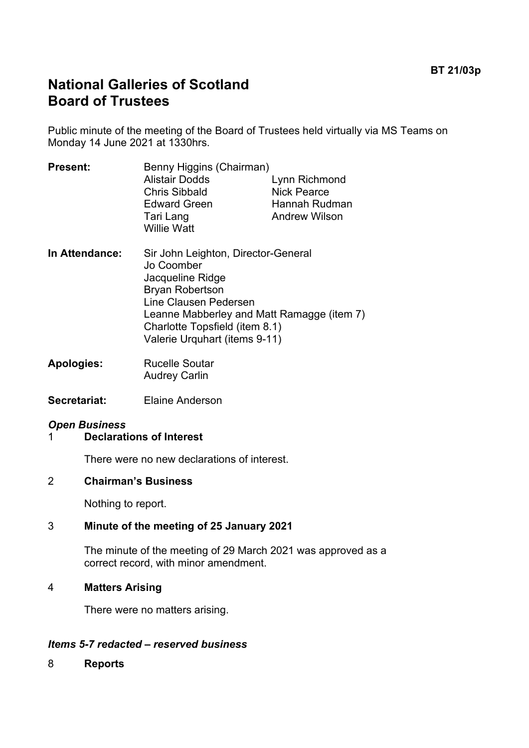# **National Galleries of Scotland Board of Trustees**

Public minute of the meeting of the Board of Trustees held virtually via MS Teams on Monday 14 June 2021 at 1330hrs.

| <b>Present:</b> | Benny Higgins (Chairman)                                              |                      |
|-----------------|-----------------------------------------------------------------------|----------------------|
|                 | <b>Alistair Dodds</b>                                                 | Lynn Richmond        |
|                 | <b>Chris Sibbald</b>                                                  | <b>Nick Pearce</b>   |
|                 | <b>Edward Green</b>                                                   | Hannah Rudman        |
|                 | Tari Lang<br><b>Willie Watt</b>                                       | <b>Andrew Wilson</b> |
| In Attendance:  | Sir John Leighton, Director-General<br>Jo Coomber<br>Jacqueline Ridge |                      |
|                 | <b>Bryan Robertson</b>                                                |                      |
|                 | Line Clausen Pedersen                                                 |                      |
|                 | Leanne Mabberley and Matt Ramagge (item 7)                            |                      |
|                 | Charlotte Topsfield (item 8.1)                                        |                      |

Valerie Urquhart (items 9-11)

- **Apologies:** Rucelle Soutar Audrey Carlin
- **Secretariat:** Elaine Anderson

### *Open Business*

#### 1 **Declarations of Interest**

There were no new declarations of interest.

#### 2 **Chairman's Business**

Nothing to report.

#### 3 **Minute of the meeting of 25 January 2021**

The minute of the meeting of 29 March 2021 was approved as a correct record, with minor amendment.

#### 4 **Matters Arising**

There were no matters arising.

#### *Items 5-7 redacted – reserved business*

8 **Reports**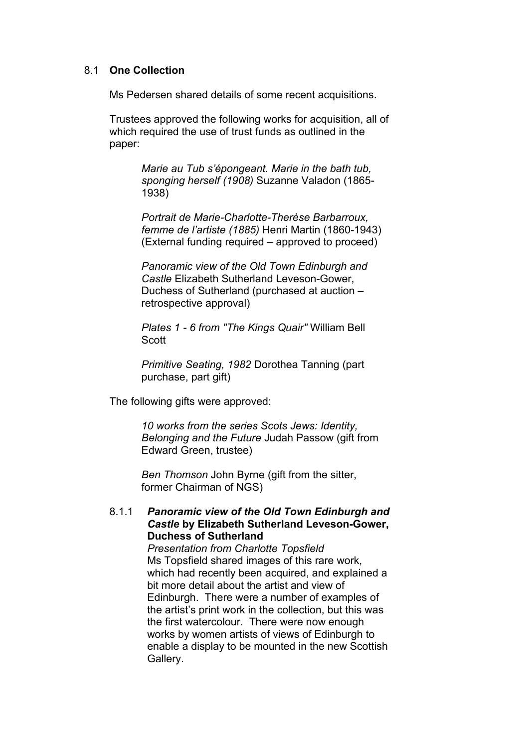#### 8.1 **One Collection**

Ms Pedersen shared details of some recent acquisitions.

Trustees approved the following works for acquisition, all of which required the use of trust funds as outlined in the paper:

> *Marie au Tub s'épongeant. Marie in the bath tub, sponging herself (1908)* Suzanne Valadon (1865- 1938)

*Portrait de Marie-Charlotte-Therèse Barbarroux, femme de l'artiste (1885)* Henri Martin (1860-1943) (External funding required – approved to proceed)

*Panoramic view of the Old Town Edinburgh and Castle* Elizabeth Sutherland Leveson-Gower, Duchess of Sutherland (purchased at auction – retrospective approval)

*Plates 1 - 6 from "The Kings Quair"* William Bell Scott

*Primitive Seating, 1982* Dorothea Tanning (part purchase, part gift)

The following gifts were approved:

*10 works from the series Scots Jews: Identity, Belonging and the Future* Judah Passow (gift from Edward Green, trustee)

*Ben Thomson* John Byrne (gift from the sitter, former Chairman of NGS)

#### 8.1.1 *Panoramic view of the Old Town Edinburgh and Castle* **by Elizabeth Sutherland Leveson-Gower, Duchess of Sutherland**

*Presentation from Charlotte Topsfield* Ms Topsfield shared images of this rare work, which had recently been acquired, and explained a bit more detail about the artist and view of Edinburgh. There were a number of examples of the artist's print work in the collection, but this was the first watercolour. There were now enough works by women artists of views of Edinburgh to enable a display to be mounted in the new Scottish Gallery.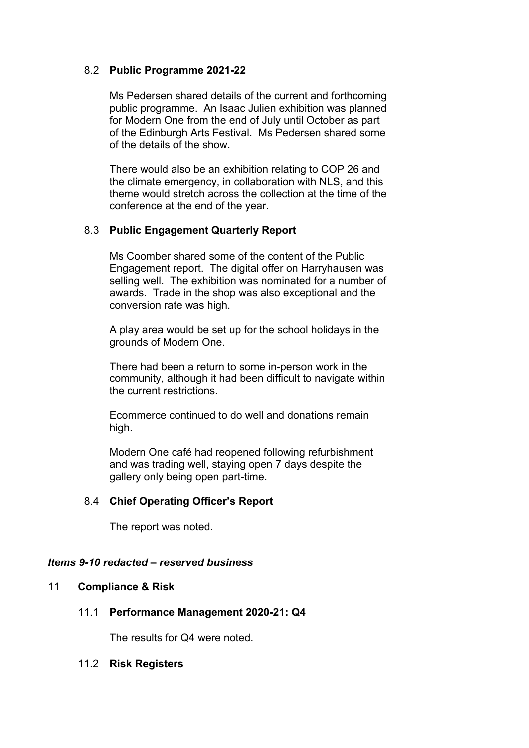#### 8.2 **Public Programme 2021-22**

Ms Pedersen shared details of the current and forthcoming public programme. An Isaac Julien exhibition was planned for Modern One from the end of July until October as part of the Edinburgh Arts Festival. Ms Pedersen shared some of the details of the show.

There would also be an exhibition relating to COP 26 and the climate emergency, in collaboration with NLS, and this theme would stretch across the collection at the time of the conference at the end of the year.

#### 8.3 **Public Engagement Quarterly Report**

Ms Coomber shared some of the content of the Public Engagement report. The digital offer on Harryhausen was selling well. The exhibition was nominated for a number of awards. Trade in the shop was also exceptional and the conversion rate was high.

A play area would be set up for the school holidays in the grounds of Modern One.

There had been a return to some in-person work in the community, although it had been difficult to navigate within the current restrictions.

Ecommerce continued to do well and donations remain high.

Modern One café had reopened following refurbishment and was trading well, staying open 7 days despite the gallery only being open part-time.

#### 8.4 **Chief Operating Officer's Report**

The report was noted.

#### *Items 9-10 redacted – reserved business*

#### 11 **Compliance & Risk**

#### 11.1 **Performance Management 2020-21: Q4**

The results for Q4 were noted.

#### 11.2 **Risk Registers**